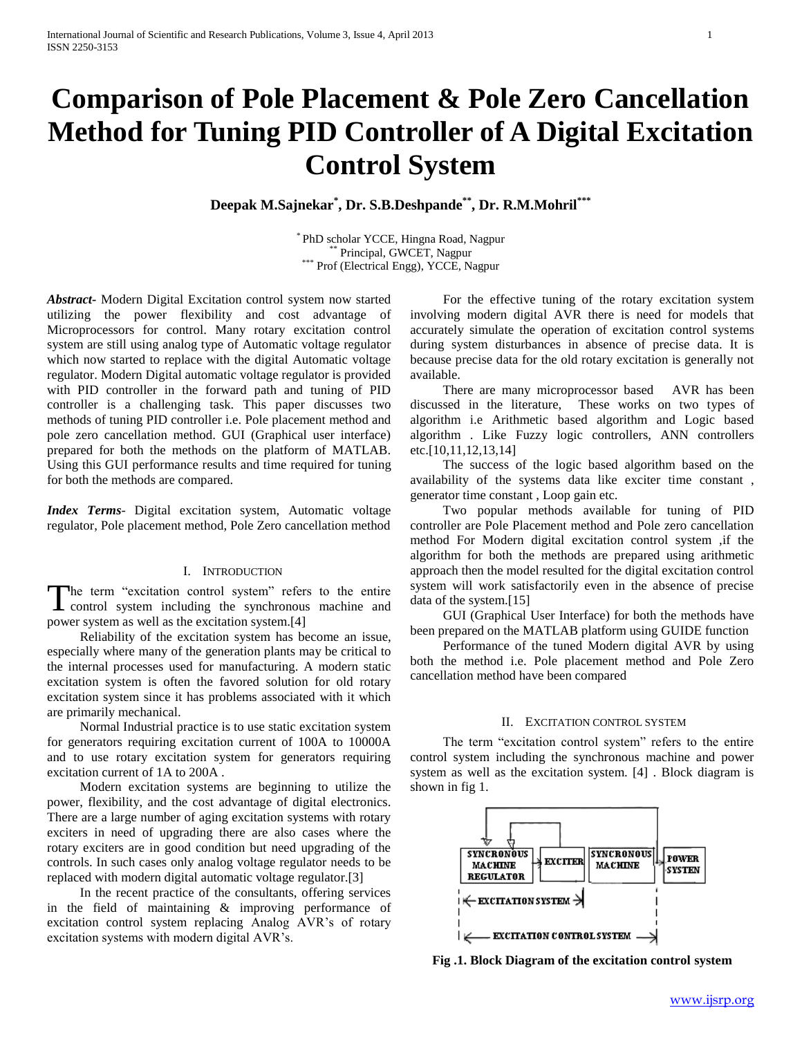# **Comparison of Pole Placement & Pole Zero Cancellation Method for Tuning PID Controller of A Digital Excitation Control System**

**Deepak M.Sajnekar\* , Dr. S.B.Deshpande\*\* , Dr. R.M.Mohril\*\*\***

PhD scholar YCCE, Hingna Road, Nagpur Principal, GWCET, Nagpur \*\*\* Prof (Electrical Engg), YCCE, Nagpur

*Abstract***-** Modern Digital Excitation control system now started utilizing the power flexibility and cost advantage of Microprocessors for control. Many rotary excitation control system are still using analog type of Automatic voltage regulator which now started to replace with the digital Automatic voltage regulator. Modern Digital automatic voltage regulator is provided with PID controller in the forward path and tuning of PID controller is a challenging task. This paper discusses two methods of tuning PID controller i.e. Pole placement method and pole zero cancellation method. GUI (Graphical user interface) prepared for both the methods on the platform of MATLAB. Using this GUI performance results and time required for tuning for both the methods are compared.

*Index Terms*- Digital excitation system, Automatic voltage regulator, Pole placement method, Pole Zero cancellation method

#### I. INTRODUCTION

he term "excitation control system" refers to the entire The term "excitation control system" refers to the entire control system including the synchronous machine and power system as well as the excitation system.[4]

 Reliability of the excitation system has become an issue, especially where many of the generation plants may be critical to the internal processes used for manufacturing. A modern static excitation system is often the favored solution for old rotary excitation system since it has problems associated with it which are primarily mechanical.

 Normal Industrial practice is to use static excitation system for generators requiring excitation current of 100A to 10000A and to use rotary excitation system for generators requiring excitation current of 1A to 200A .

 Modern excitation systems are beginning to utilize the power, flexibility, and the cost advantage of digital electronics. There are a large number of aging excitation systems with rotary exciters in need of upgrading there are also cases where the rotary exciters are in good condition but need upgrading of the controls. In such cases only analog voltage regulator needs to be replaced with modern digital automatic voltage regulator.[3]

 In the recent practice of the consultants, offering services in the field of maintaining & improving performance of excitation control system replacing Analog AVR's of rotary excitation systems with modern digital AVR's.

 For the effective tuning of the rotary excitation system involving modern digital AVR there is need for models that accurately simulate the operation of excitation control systems during system disturbances in absence of precise data. It is because precise data for the old rotary excitation is generally not available.

 There are many microprocessor based AVR has been discussed in the literature, These works on two types of algorithm i.e Arithmetic based algorithm and Logic based algorithm . Like Fuzzy logic controllers, ANN controllers etc.[10,11,12,13,14]

 The success of the logic based algorithm based on the availability of the systems data like exciter time constant , generator time constant , Loop gain etc.

 Two popular methods available for tuning of PID controller are Pole Placement method and Pole zero cancellation method For Modern digital excitation control system ,if the algorithm for both the methods are prepared using arithmetic approach then the model resulted for the digital excitation control system will work satisfactorily even in the absence of precise data of the system.[15]

 GUI (Graphical User Interface) for both the methods have been prepared on the MATLAB platform using GUIDE function

 Performance of the tuned Modern digital AVR by using both the method i.e. Pole placement method and Pole Zero cancellation method have been compared

#### II. EXCITATION CONTROL SYSTEM

 The term "excitation control system" refers to the entire control system including the synchronous machine and power system as well as the excitation system. [4] . Block diagram is shown in fig 1.



**Fig .1. Block Diagram of the excitation control system**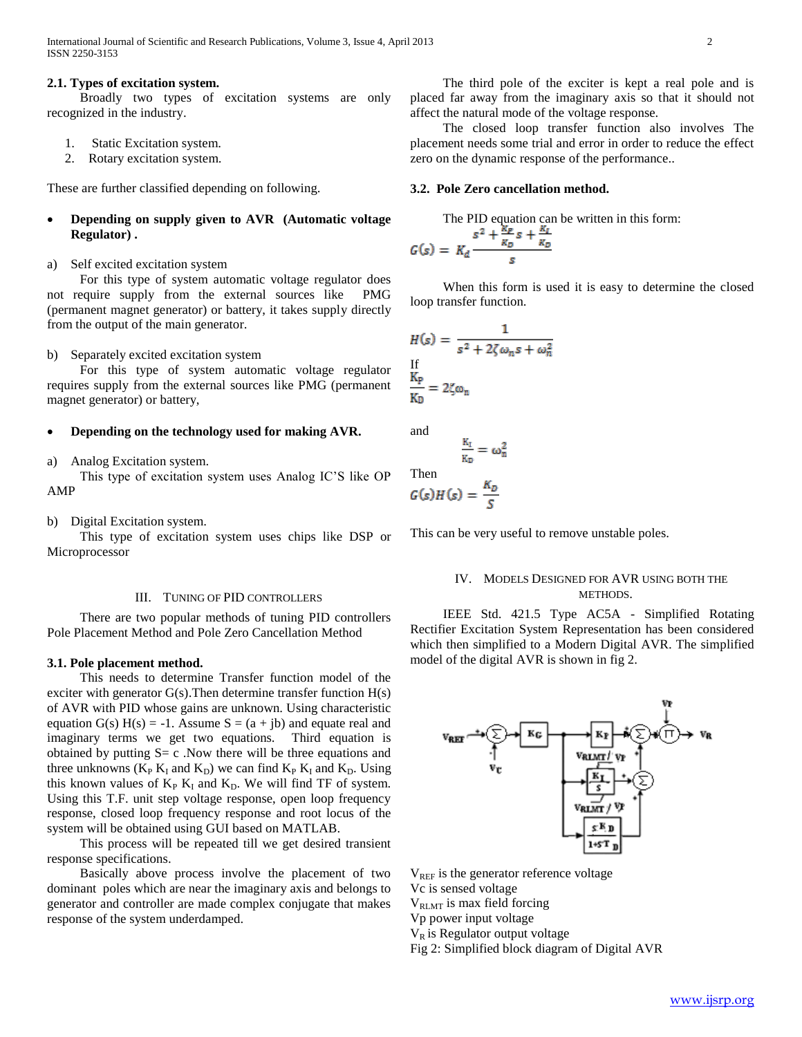#### **2.1. Types of excitation system.**

 Broadly two types of excitation systems are only recognized in the industry.

- 1. Static Excitation system.
- 2. Rotary excitation system.

These are further classified depending on following.

 **Depending on supply given to AVR (Automatic voltage Regulator) .**

# a) Self excited excitation system

 For this type of system automatic voltage regulator does not require supply from the external sources like PMG (permanent magnet generator) or battery, it takes supply directly from the output of the main generator.

b) Separately excited excitation system

 For this type of system automatic voltage regulator requires supply from the external sources like PMG (permanent magnet generator) or battery,

# **Depending on the technology used for making AVR.**

a) Analog Excitation system.

 This type of excitation system uses Analog IC'S like OP AMP

b) Digital Excitation system.

 This type of excitation system uses chips like DSP or Microprocessor

#### III. TUNING OF PID CONTROLLERS

 There are two popular methods of tuning PID controllers Pole Placement Method and Pole Zero Cancellation Method

#### **3.1. Pole placement method.**

 This needs to determine Transfer function model of the exciter with generator  $G(s)$ . Then determine transfer function  $H(s)$ of AVR with PID whose gains are unknown. Using characteristic equation  $G(s) H(s) = -1$ . Assume  $S = (a + jb)$  and equate real and imaginary terms we get two equations. Third equation is obtained by putting  $S = c$ . Now there will be three equations and three unknowns ( $K_P K_I$  and  $K_D$ ) we can find  $K_P K_I$  and  $K_D$ . Using this known values of  $K_P K_I$  and  $K_D$ . We will find TF of system. Using this T.F. unit step voltage response, open loop frequency response, closed loop frequency response and root locus of the system will be obtained using GUI based on MATLAB.

 This process will be repeated till we get desired transient response specifications.

 Basically above process involve the placement of two dominant poles which are near the imaginary axis and belongs to generator and controller are made complex conjugate that makes response of the system underdamped.

 The third pole of the exciter is kept a real pole and is placed far away from the imaginary axis so that it should not affect the natural mode of the voltage response.

 The closed loop transfer function also involves The placement needs some trial and error in order to reduce the effect zero on the dynamic response of the performance..

#### **3.2. Pole Zero cancellation method.**

The PID equation can be written in this form:

$$
G(s) = K_d \frac{s^2 + \frac{\Delta P}{K_D} s + \frac{\Delta I}{K_D}}{s}
$$

 When this form is used it is easy to determine the closed loop transfer function.

$$
H(s) = \frac{1}{s^2 + 2\zeta\omega_n s + \omega_n^2}
$$
  
If  

$$
\frac{K_P}{K_D} = 2\zeta\omega_n
$$

and

$$
\frac{R_1}{R_D} = \omega_1^2
$$
  
Then  

$$
G(s)H(s) = \frac{K_D}{S}
$$

This can be very useful to remove unstable poles.

# IV. MODELS DESIGNED FOR AVR USING BOTH THE METHODS.

 IEEE Std. 421.5 Type AC5A - Simplified Rotating Rectifier Excitation System Representation has been considered which then simplified to a Modern Digital AVR. The simplified model of the digital AVR is shown in fig 2.



 $V_{REF}$  is the generator reference voltage Vc is sensed voltage

 $V_{\text{RLMT}}$  is max field forcing

Vp power input voltage

 $V_R$  is Regulator output voltage

Fig 2: Simplified block diagram of Digital AVR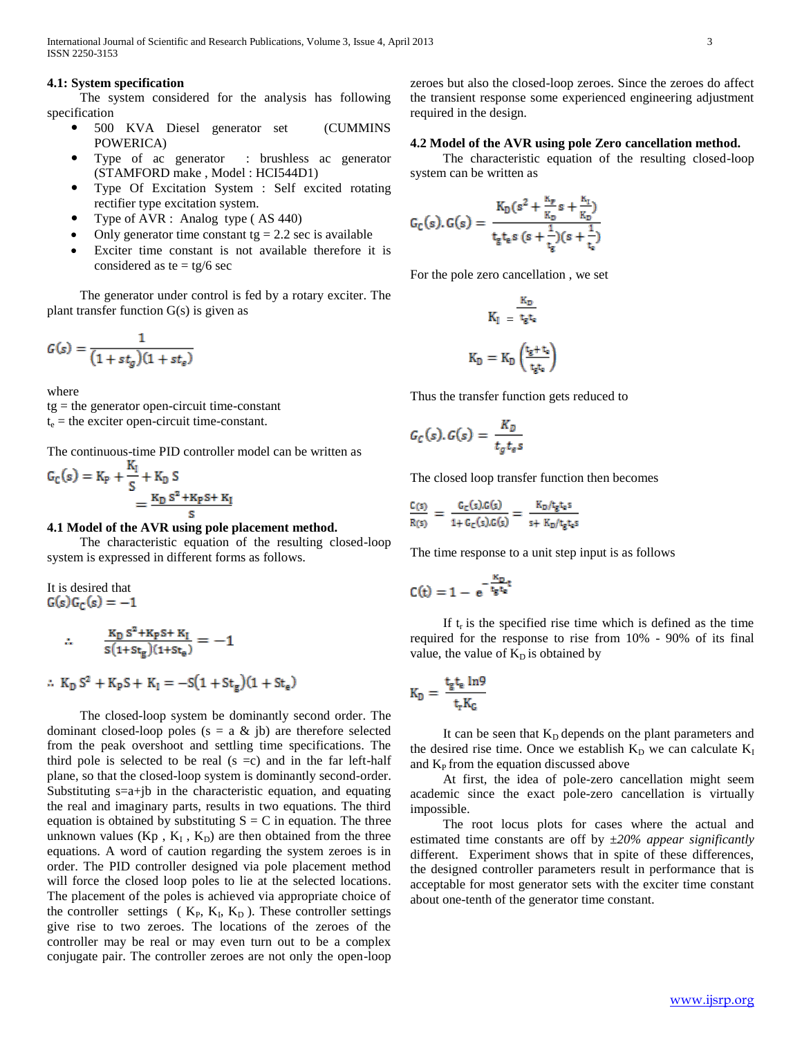#### **4.1: System specification**

 The system considered for the analysis has following specification

- 500 KVA Diesel generator set (CUMMINS POWERICA)
- Type of ac generator : brushless ac generator (STAMFORD make , Model : HCI544D1)
- Type Of Excitation System : Self excited rotating rectifier type excitation system.
- Type of AVR : Analog type ( AS 440)
- Only generator time constant tg  $= 2.2$  sec is available
- Exciter time constant is not available therefore it is considered as te =  $tg/6$  sec

 The generator under control is fed by a rotary exciter. The plant transfer function G(s) is given as

$$
G(s) = \frac{1}{\left(1 + st_g\right)(1 + st_e)}
$$

where

tg = the generator open-circuit time-constant  $t_e$  = the exciter open-circuit time-constant.

The continuous-time PID controller model can be written as

$$
G_C(s) = K_P + \frac{K_I}{S} + K_D S
$$
  
= 
$$
\frac{K_D S^2 + K_P S + K_I}{S}
$$

#### **4.1 Model of the AVR using pole placement method.**

 The characteristic equation of the resulting closed-loop system is expressed in different forms as follows.

It is desired that  $G(s)G_C(s) = -1$ 

$$
\therefore \qquad \frac{K_D S^2 + K_P S + K_I}{S(1 + St_g)(1 + St_\theta)} = -1
$$

$$
\therefore K_{D} S^{2} + K_{P} S + K_{I} = -S(1 + St_{g})(1 + St_{e})
$$

 The closed-loop system be dominantly second order. The dominant closed-loop poles ( $s = a \& b$ ) are therefore selected from the peak overshoot and settling time specifications. The third pole is selected to be real  $(s = c)$  and in the far left-half plane, so that the closed-loop system is dominantly second-order. Substituting  $s=a+jb$  in the characteristic equation, and equating the real and imaginary parts, results in two equations. The third equation is obtained by substituting  $S = C$  in equation. The three unknown values  $(Kp, K_I, K_D)$  are then obtained from the three equations. A word of caution regarding the system zeroes is in order. The PID controller designed via pole placement method will force the closed loop poles to lie at the selected locations. The placement of the poles is achieved via appropriate choice of the controller settings ( $K_P$ ,  $K_I$ ,  $K_D$ ). These controller settings give rise to two zeroes. The locations of the zeroes of the controller may be real or may even turn out to be a complex conjugate pair. The controller zeroes are not only the open-loop

zeroes but also the closed-loop zeroes. Since the zeroes do affect the transient response some experienced engineering adjustment required in the design.

## **4.2 Model of the AVR using pole Zero cancellation method.**

 The characteristic equation of the resulting closed-loop system can be written as

$$
G_C(s), G(s) = \frac{K_D(s^2 + \frac{K_P}{K_D}s + \frac{K_I}{K_D})}{t_g t_g s (s + \frac{1}{t_g})(s + \frac{1}{t_g})}
$$

For the pole zero cancellation , we set

$$
K_I = \frac{\kappa_D}{t_g t_e}
$$

$$
K_D = K_D \left(\frac{t_g + t_e}{t_g t_e}\right)
$$

Thus the transfer function gets reduced to

$$
G_C(s), G(s) = \frac{K_D}{t_g t_e s}
$$

The closed loop transfer function then becomes

$$
\frac{C(s)}{R(s)} = \frac{G_C(s).G(s)}{1 + G_C(s).G(s)} = \frac{K_D/t_g t_e s}{s + K_D/t_g t_e s}
$$

The time response to a unit step input is as follows

$$
C(t)=1-\,e^{-\frac{K_D}{t_g t_e}t}
$$

If  $t_r$  is the specified rise time which is defined as the time required for the response to rise from 10% - 90% of its final value, the value of  $K<sub>D</sub>$  is obtained by

$$
K_D = \frac{t_g t_e \ln 9}{t_r K_G}
$$

It can be seen that  $K_D$  depends on the plant parameters and the desired rise time. Once we establish  $K_D$  we can calculate  $K_I$ and  $K<sub>P</sub>$  from the equation discussed above

 At first, the idea of pole-zero cancellation might seem academic since the exact pole-zero cancellation is virtually impossible.

 The root locus plots for cases where the actual and estimated time constants are off by *±20% appear significantly*  different. Experiment shows that in spite of these differences, the designed controller parameters result in performance that is acceptable for most generator sets with the exciter time constant about one-tenth of the generator time constant.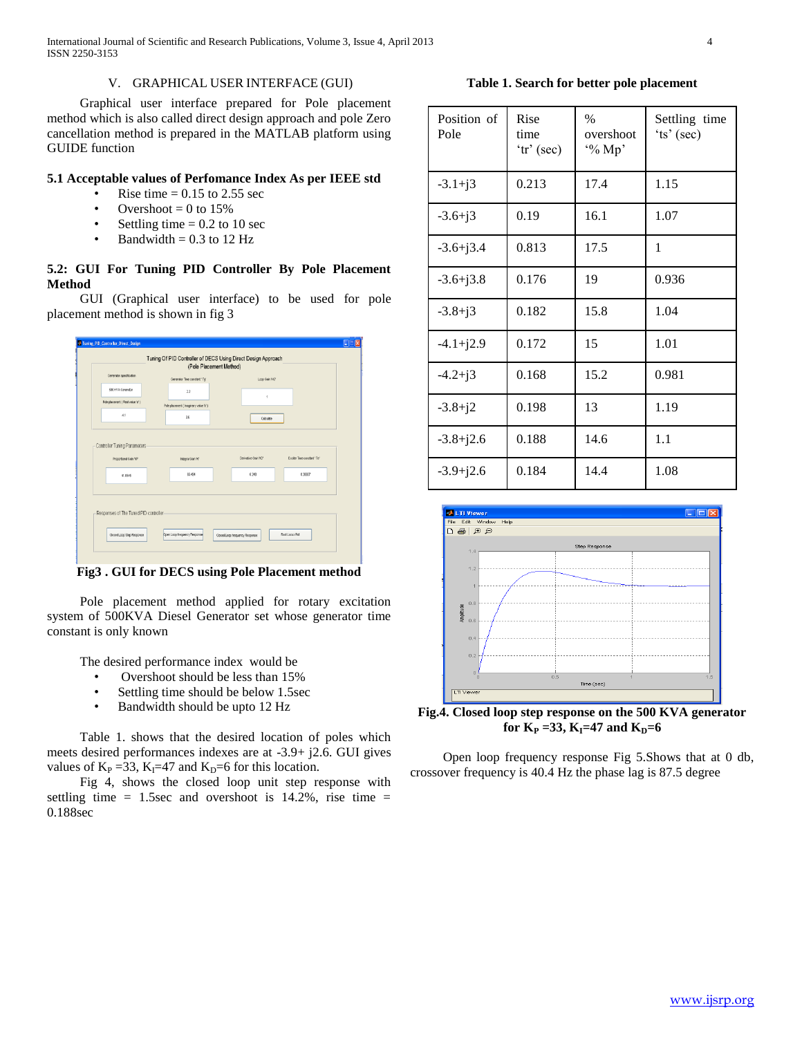International Journal of Scientific and Research Publications, Volume 3, Issue 4, April 2013 4 ISSN 2250-3153

# V. GRAPHICAL USER INTERFACE (GUI)

 Graphical user interface prepared for Pole placement method which is also called direct design approach and pole Zero cancellation method is prepared in the MATLAB platform using GUIDE function

# **5.1 Acceptable values of Perfomance Index As per IEEE std**

- Rise time  $= 0.15$  to 2.55 sec
- Overshoot  $= 0$  to 15%
- Settling time  $= 0.2$  to 10 sec
- Bandwidth  $= 0.3$  to 12 Hz

# **5.2: GUI For Tuning PID Controller By Pole Placement Method**

 GUI (Graphical user interface) to be used for pole placement method is shown in fig 3

|                                        | (Pole Placement Method)<br>Generator specification |                     |                            |  |  |  |
|----------------------------------------|----------------------------------------------------|---------------------|----------------------------|--|--|--|
|                                        | Generator Tiree constant 'Tg'                      | Loop Gain 1031      |                            |  |  |  |
| 500 KVA Generator                      | 22                                                 |                     |                            |  |  |  |
| Pole placement (Real value 'a')        | Pole placement (Imaginary value 1z')               |                     |                            |  |  |  |
| $-4.1$                                 | 36                                                 | Calculate           |                            |  |  |  |
| Proportional Gain Y/P'                 | Integral Gain W                                    | Derivative Gain WD' | Exciter Time constant 'Te' |  |  |  |
| 41.0545                                | <b>65454</b>                                       | 6.248               | 0.36667                    |  |  |  |
|                                        |                                                    |                     |                            |  |  |  |
|                                        |                                                    |                     |                            |  |  |  |
|                                        |                                                    |                     |                            |  |  |  |
| Responses of The Tuned PID controller- |                                                    |                     |                            |  |  |  |

**Fig3 . GUI for DECS using Pole Placement method**

 Pole placement method applied for rotary excitation system of 500KVA Diesel Generator set whose generator time constant is only known

The desired performance index would be

- Overshoot should be less than 15%
- Settling time should be below 1.5sec
- Bandwidth should be upto 12 Hz

 Table 1. shows that the desired location of poles which meets desired performances indexes are at -3.9+ j2.6. GUI gives values of  $K_P = 33$ ,  $K_I = 47$  and  $K_D = 6$  for this location.

 Fig 4, shows the closed loop unit step response with settling time  $= 1.5$ sec and overshoot is 14.2%, rise time  $=$ 0.188sec

# **Table 1. Search for better pole placement**

| Position of<br>Pole | Rise<br>time<br>'tr' (sec) | $\%$<br>overshoot<br>$\frac{60}{10}$ Mp' | Settling time<br>'ts' (sec) |
|---------------------|----------------------------|------------------------------------------|-----------------------------|
| $-3.1 + j3$         | 0.213                      | 17.4                                     | 1.15                        |
| $-3.6+j3$           | 0.19                       | 16.1                                     | 1.07                        |
| $-3.6 + j3.4$       | 0.813                      | 17.5                                     | 1                           |
| $-3.6 + j3.8$       | 0.176                      | 19                                       | 0.936                       |
| $-3.8+j3$           | 0.182                      | 15.8                                     | 1.04                        |
| $-4.1 + j2.9$       | 0.172                      | 15                                       | 1.01                        |
| $-4.2+j3$           | 0.168                      | 15.2                                     | 0.981                       |
| $-3.8 + j2$         | 0.198                      | 13                                       | 1.19                        |
| $-3.8 + j2.6$       | 0.188                      | 14.6                                     | 1.1                         |
| $-3.9 + j2.6$       | 0.184                      | 14.4                                     | 1.08                        |



**Fig.4. Closed loop step response on the 500 KVA generator**   $f_{\text{D}}$  **K**<sub>**P**</sub> = 33, **K**<sub>**I**</sub> = 47 and **K**<sub>**D**</sub> = 6

 Open loop frequency response Fig 5.Shows that at 0 db, crossover frequency is 40.4 Hz the phase lag is 87.5 degree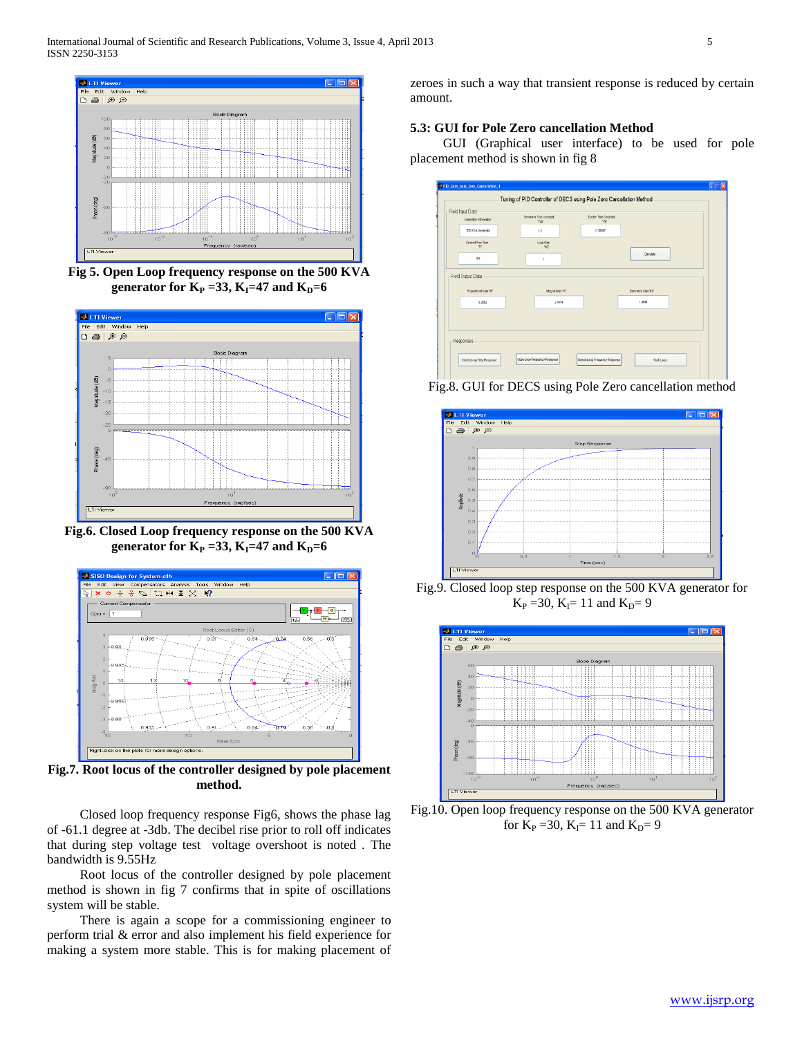

**Fig 5. Open Loop frequency response on the 500 KVA generator for**  $K_P = 33$ **,**  $K_I = 47$  **and**  $K_D = 6$ 



**Fig.6. Closed Loop frequency response on the 500 KVA generator for**  $K_P = 33$ **,**  $K_I = 47$  **and**  $K_D = 6$ 



**Fig.7. Root locus of the controller designed by pole placement method.**

 Closed loop frequency response Fig6, shows the phase lag of -61.1 degree at -3db. The decibel rise prior to roll off indicates that during step voltage test voltage overshoot is noted . The bandwidth is 9.55Hz

 Root locus of the controller designed by pole placement method is shown in fig 7 confirms that in spite of oscillations system will be stable.

 There is again a scope for a commissioning engineer to perform trial & error and also implement his field experience for making a system more stable. This is for making placement of zeroes in such a way that transient response is reduced by certain amount.

# **5.3: GUI for Pole Zero cancellation Method**

 GUI (Graphical user interface) to be used for pole placement method is shown in fig 8

| Generator Information   | Generator Time constant<br>'Tair | Expirer Time Constant<br>"Te" |                     |  |
|-------------------------|----------------------------------|-------------------------------|---------------------|--|
| 500 KVA Generator       | 2.2                              | 0.36667                       |                     |  |
| Desired Rise Time<br>76 | Loop Gain<br>WG <sup>+</sup>     |                               |                     |  |
| 0.9                     | ł                                |                               | Calculate           |  |
| Proportional Gain 16P   | Integral Gain' H7                |                               | Derivative Gain ND' |  |
| 6.3662                  | 2,4414                           |                               | 1,9894              |  |
|                         |                                  |                               |                     |  |

Fig.8. GUI for DECS using Pole Zero cancellation method



Fig.9. Closed loop step response on the 500 KVA generator for  $K_{\rm P}$  =30,  $K_{\rm I}$ = 11 and  $K_{\rm D}$ = 9



Fig.10. Open loop frequency response on the 500 KVA generator for  $K_P = 30$ ,  $K_I = 11$  and  $K_D = 9$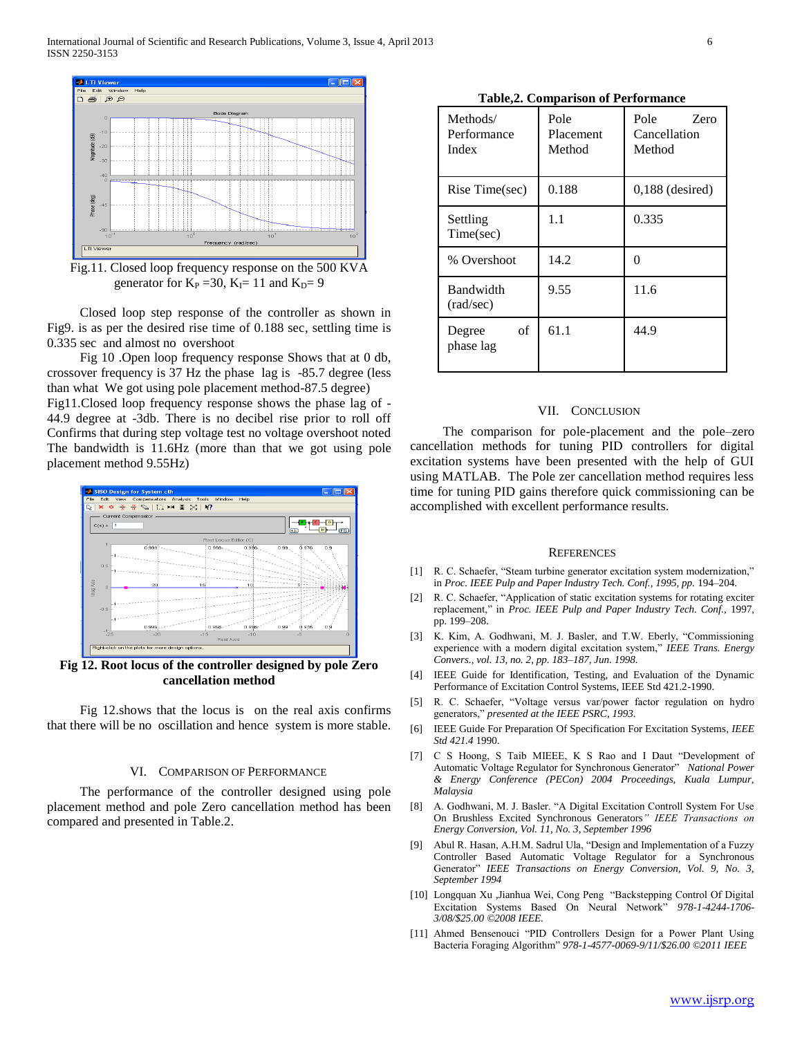International Journal of Scientific and Research Publications, Volume 3, Issue 4, April 2013 6 ISSN 2250-3153



Fig.11. Closed loop frequency response on the 500 KVA generator for  $K_P = 30$ ,  $K_I = 11$  and  $K_D = 9$ 

 Closed loop step response of the controller as shown in Fig9. is as per the desired rise time of 0.188 sec, settling time is 0.335 sec and almost no overshoot

 Fig 10 .Open loop frequency response Shows that at 0 db, crossover frequency is 37 Hz the phase lag is -85.7 degree (less than what We got using pole placement method-87.5 degree) Fig11.Closed loop frequency response shows the phase lag of - 44.9 degree at -3db. There is no decibel rise prior to roll off

Confirms that during step voltage test no voltage overshoot noted The bandwidth is 11.6Hz (more than that we got using pole placement method 9.55Hz)



**Fig 12. Root locus of the controller designed by pole Zero cancellation method**

 Fig 12.shows that the locus is on the real axis confirms that there will be no oscillation and hence system is more stable.

## VI. COMPARISON OF PERFORMANCE

 The performance of the controller designed using pole placement method and pole Zero cancellation method has been compared and presented in Table.2.

| Methods/<br>Performance<br>Index | Pole<br>Placement<br>Method | Pole<br>Zero<br>Cancellation<br>Method |
|----------------------------------|-----------------------------|----------------------------------------|
| Rise Time(sec)                   | 0.188                       | $0,188$ (desired)                      |
| Settling<br>Time(sec)            | 1.1                         | 0.335                                  |
| % Overshoot                      | 14.2                        | ∩                                      |
| <b>Bandwidth</b><br>(rad/sec)    | 9.55                        | 11.6                                   |
| of<br>Degree<br>phase lag        | 61.1                        | 44.9                                   |

# VII. CONCLUSION

 The comparison for pole-placement and the pole–zero cancellation methods for tuning PID controllers for digital excitation systems have been presented with the help of GUI using MATLAB. The Pole zer cancellation method requires less time for tuning PID gains therefore quick commissioning can be accomplished with excellent performance results.

#### **REFERENCES**

- [1] R. C. Schaefer, "Steam turbine generator excitation system modernization," in *Proc. IEEE Pulp and Paper Industry Tech. Conf., 1995, pp.* 194-204.
- [2] R. C. Schaefer, "Application of static excitation systems for rotating exciter replacement," in *Proc. IEEE Pulp and Paper Industry Tech. Conf.,* 1997, pp. 199–208.
- [3] K. Kim, A. Godhwani, M. J. Basler, and T.W. Eberly, "Commissioning experience with a modern digital excitation system," *IEEE Trans. Energy Convers., vol. 13, no. 2, pp. 183–187, Jun. 1998.*
- [4] IEEE Guide for Identification, Testing, and Evaluation of the Dynamic Performance of Excitation Control Systems, IEEE Std 421.2-1990.
- [5] R. C. Schaefer, "Voltage versus var/power factor regulation on hydro generators," *presented at the IEEE PSRC, 1993.*
- [6] IEEE Guide For Preparation Of Specification For Excitation Systems*, IEEE Std 421.4* 1990.
- [7] C S Hoong, S Taib MIEEE, K S Rao and I Daut "Development of Automatic Voltage Regulator for Synchronous Generator" *National Power & Energy Conference (PECon) 2004 Proceedings, Kuala Lumpur, Malaysia*
- [8] A. Godhwani, M. J. Basler. "A Digital Excitation Controll System For Use On Brushless Excited Synchronous Generators*" IEEE Transactions on Energy Conversion, Vol. 11, No. 3, September 1996*
- [9] Abul R. Hasan, A.H.M. Sadrul Ula, "Design and Implementation of a Fuzzy Controller Based Automatic Voltage Regulator for a Synchronous Generator" *IEEE Transactions on Energy Conversion, Vol. 9, No. 3, September 1994*
- [10] Longquan Xu ,Jianhua Wei, Cong Peng "Backstepping Control Of Digital Excitation Systems Based On Neural Network" *978-1-4244-1706- 3/08/\$25.00 ©2008 IEEE.*
- [11] Ahmed Bensenouci "PID Controllers Design for a Power Plant Using Bacteria Foraging Algorithm" *978-1-4577-0069-9/11/\$26.00 ©2011 IEEE*